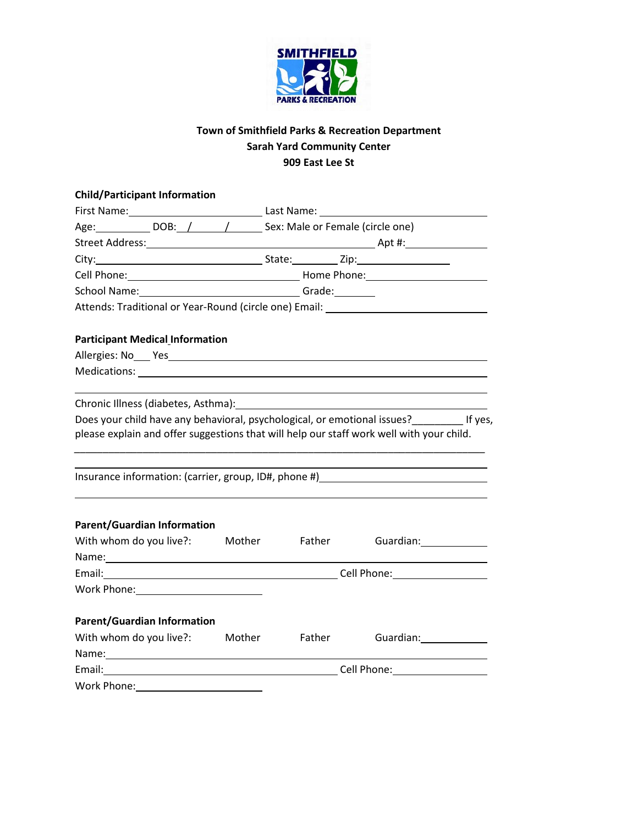

## **Town of Smithfield Parks & Recreation Department Sarah Yard Community Center 909 East Lee St**

|                                                                                                                                                                                 | <b>Child/Participant Information</b>                                                                                                                                                                                           |               |                                                |  |                                      |  |
|---------------------------------------------------------------------------------------------------------------------------------------------------------------------------------|--------------------------------------------------------------------------------------------------------------------------------------------------------------------------------------------------------------------------------|---------------|------------------------------------------------|--|--------------------------------------|--|
|                                                                                                                                                                                 |                                                                                                                                                                                                                                |               |                                                |  |                                      |  |
|                                                                                                                                                                                 |                                                                                                                                                                                                                                |               | Age: DOB: / / Sex: Male or Female (circle one) |  |                                      |  |
|                                                                                                                                                                                 |                                                                                                                                                                                                                                |               |                                                |  |                                      |  |
|                                                                                                                                                                                 |                                                                                                                                                                                                                                |               |                                                |  |                                      |  |
|                                                                                                                                                                                 |                                                                                                                                                                                                                                |               |                                                |  |                                      |  |
|                                                                                                                                                                                 |                                                                                                                                                                                                                                |               |                                                |  |                                      |  |
|                                                                                                                                                                                 | Attends: Traditional or Year-Round (circle one) Email: _________________________                                                                                                                                               |               |                                                |  |                                      |  |
|                                                                                                                                                                                 |                                                                                                                                                                                                                                |               |                                                |  |                                      |  |
|                                                                                                                                                                                 | <b>Participant Medical Information</b>                                                                                                                                                                                         |               |                                                |  |                                      |  |
|                                                                                                                                                                                 | Allergies: No Yes Yes Allergies: No Yes Allergies: No Yes Allergies: No Yes Allergies: No Yes Allergies: No Yes                                                                                                                |               |                                                |  |                                      |  |
|                                                                                                                                                                                 |                                                                                                                                                                                                                                |               |                                                |  |                                      |  |
|                                                                                                                                                                                 | Chronic Illness (diabetes, Asthma): [2010] [2010] [2010] [2010] [2010] [2010] [2010] [2010] [2010] [2010] [2010] [2010] [2010] [2010] [2010] [2010] [2010] [2010] [2010] [2010] [2010] [2010] [2010] [2010] [2010] [2010] [201 |               |                                                |  |                                      |  |
|                                                                                                                                                                                 |                                                                                                                                                                                                                                |               |                                                |  |                                      |  |
| Does your child have any behavioral, psychological, or emotional issues?<br>If yes,<br>please explain and offer suggestions that will help our staff work well with your child. |                                                                                                                                                                                                                                |               |                                                |  |                                      |  |
|                                                                                                                                                                                 |                                                                                                                                                                                                                                |               |                                                |  |                                      |  |
|                                                                                                                                                                                 |                                                                                                                                                                                                                                |               |                                                |  |                                      |  |
|                                                                                                                                                                                 | Insurance information: (carrier, group, ID#, phone #)___________________________                                                                                                                                               |               |                                                |  |                                      |  |
|                                                                                                                                                                                 |                                                                                                                                                                                                                                |               |                                                |  |                                      |  |
|                                                                                                                                                                                 | <b>Parent/Guardian Information</b>                                                                                                                                                                                             |               |                                                |  |                                      |  |
| With whom do you live?:                                                                                                                                                         |                                                                                                                                                                                                                                | Mother Father |                                                |  | Guardian: Electric Control           |  |
|                                                                                                                                                                                 |                                                                                                                                                                                                                                |               |                                                |  |                                      |  |
|                                                                                                                                                                                 |                                                                                                                                                                                                                                |               |                                                |  |                                      |  |
|                                                                                                                                                                                 | Work Phone: Work Phone                                                                                                                                                                                                         |               |                                                |  |                                      |  |
|                                                                                                                                                                                 |                                                                                                                                                                                                                                |               |                                                |  |                                      |  |
|                                                                                                                                                                                 | <b>Parent/Guardian Information</b>                                                                                                                                                                                             |               |                                                |  |                                      |  |
|                                                                                                                                                                                 | With whom do you live?: Mother Father                                                                                                                                                                                          |               |                                                |  | Guardian: Canadian Control of Tennes |  |
|                                                                                                                                                                                 | Name: Name and the second contract of the second contract of the second contract of the second contract of the second contract of the second contract of the second contract of the second contract of the second contract of  |               |                                                |  |                                      |  |
|                                                                                                                                                                                 | Email: Cell Phone: Cell Phone:                                                                                                                                                                                                 |               |                                                |  |                                      |  |
| Work Phone:                                                                                                                                                                     |                                                                                                                                                                                                                                |               |                                                |  |                                      |  |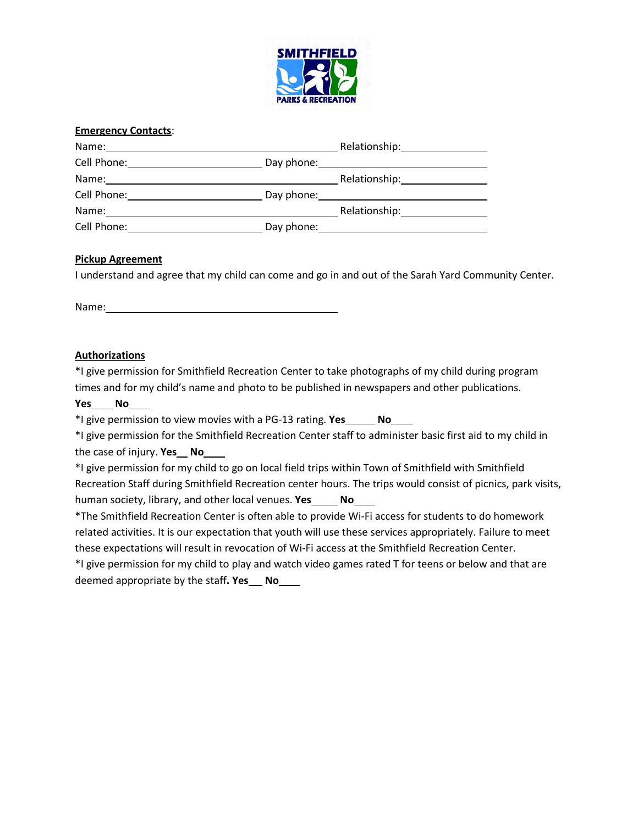

| <b>Emergency Contacts:</b> |            |                                                                                                                |
|----------------------------|------------|----------------------------------------------------------------------------------------------------------------|
| Name:                      |            | Relationship: The state of the state of the state of the state of the state of the state of the state of the s |
|                            |            |                                                                                                                |
| Name:                      |            |                                                                                                                |
| Cell Phone:                | Day phone: |                                                                                                                |
| Name:                      |            | Relationship: 1997                                                                                             |
| Cell Phone:                | Day phone: |                                                                                                                |

#### **Pickup Agreement**

I understand and agree that my child can come and go in and out of the Sarah Yard Community Center.

| Name: |  |
|-------|--|
|       |  |

#### **Authorizations**

\*I give permission for Smithfield Recreation Center to take photographs of my child during program times and for my child's name and photo to be published in newspapers and other publications.

#### **Yes No**

\*I give permission to view movies with a PG-13 rating. **Yes No**

\*I give permission for the Smithfield Recreation Center staff to administer basic first aid to my child in the case of injury. **Yes No**

\*I give permission for my child to go on local field trips within Town of Smithfield with Smithfield Recreation Staff during Smithfield Recreation center hours. The trips would consist of picnics, park visits, human society, library, and other local venues. **Yes No**

\*The Smithfield Recreation Center is often able to provide Wi-Fi access for students to do homework related activities. It is our expectation that youth will use these services appropriately. Failure to meet these expectations will result in revocation of Wi-Fi access at the Smithfield Recreation Center.

\*I give permission for my child to play and watch video games rated T for teens or below and that are deemed appropriate by the staff**. Yes No**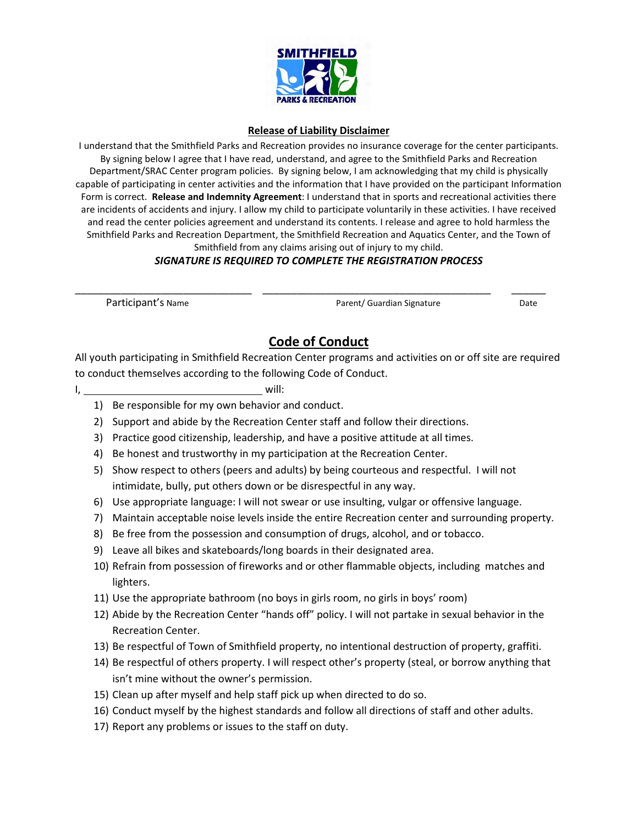

#### **Release of Liability Disclaimer**

I understand that the Smithfield Parks and Recreation provides no insurance coverage for the center participants. By signing below I agree that I have read, understand, and agree to the Smithfield Parks and Recreation Department/SRAC Center program policies. By signing below, I am acknowledging that my child is physically capable of participating in center activities and the information that I have provided on the participant Information Form is correct. **Release and Indemnity Agreement**: I understand that in sports and recreational activities there are incidents of accidents and injury. I allow my child to participate voluntarily in these activities. I have received and read the center policies agreement and understand its contents. I release and agree to hold harmless the Smithfield Parks and Recreation Department, the Smithfield Recreation and Aquatics Center, and the Town of Smithfield from any claims arising out of injury to my child.

### *SIGNATURE IS REQUIRED TO COMPLETE THE REGISTRATION PROCESS*

\_\_\_\_\_\_\_\_\_\_\_\_\_\_\_\_\_\_\_\_\_\_\_\_\_\_\_\_\_\_\_ \_\_\_\_\_\_\_\_\_\_\_\_\_\_\_\_\_\_\_\_\_\_\_\_\_\_\_\_\_\_\_\_\_\_\_\_\_\_\_\_ \_\_\_\_\_\_

Participant's Name **Parent/ Guardian Signature** Date

# **Code of Conduct**

All youth participating in Smithfield Recreation Center programs and activities on or off site are required to conduct themselves according to the following Code of Conduct.

I, will:

- 1) Be responsible for my own behavior and conduct.
- 2) Support and abide by the Recreation Center staff and follow their directions.
- 3) Practice good citizenship, leadership, and have a positive attitude at all times.
- 4) Be honest and trustworthy in my participation at the Recreation Center.
- 5) Show respect to others (peers and adults) by being courteous and respectful. I will not intimidate, bully, put others down or be disrespectful in any way.
- 6) Use appropriate language: I will not swear or use insulting, vulgar or offensive language.
- 7) Maintain acceptable noise levels inside the entire Recreation center and surrounding property.
- 8) Be free from the possession and consumption of drugs, alcohol, and or tobacco.
- 9) Leave all bikes and skateboards/long boards in their designated area.
- 10) Refrain from possession of fireworks and or other flammable objects, including matches and lighters.
- 11) Use the appropriate bathroom (no boys in girls room, no girls in boys' room)
- 12) Abide by the Recreation Center "hands off" policy. I will not partake in sexual behavior in the Recreation Center.
- 13) Be respectful of Town of Smithfield property, no intentional destruction of property, graffiti.
- 14) Be respectful of others property. I will respect other's property (steal, or borrow anything that isn't mine without the owner's permission.
- 15) Clean up after myself and help staff pick up when directed to do so.
- 16) Conduct myself by the highest standards and follow all directions of staff and other adults.
- 17) Report any problems or issues to the staff on duty.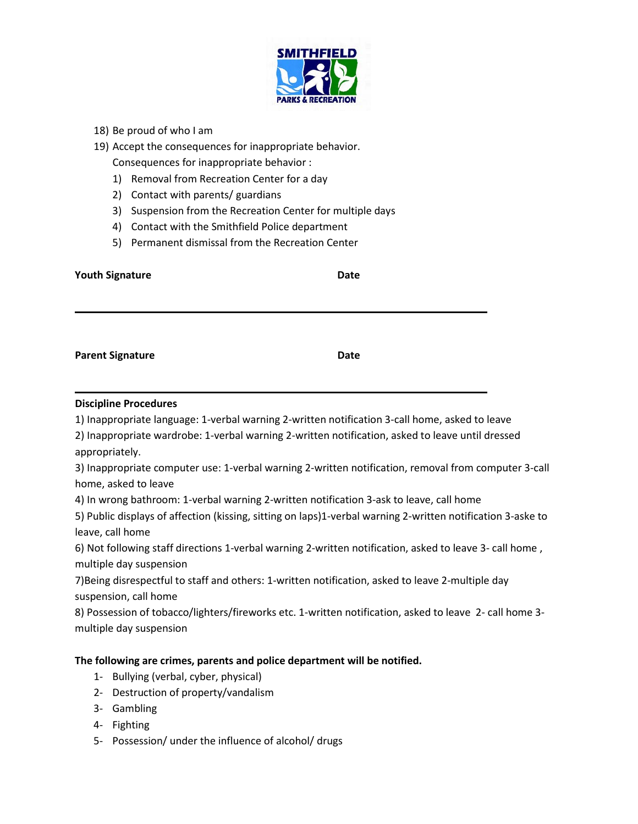

- 18) Be proud of who I am
- 19) Accept the consequences for inappropriate behavior. Consequences for inappropriate behavior :
	- 1) Removal from Recreation Center for a day
	- 2) Contact with parents/ guardians
	- 3) Suspension from the Recreation Center for multiple days
	- 4) Contact with the Smithfield Police department
	- 5) Permanent dismissal from the Recreation Center

| <b>Youth Signature</b>                                                                                                                                                                                                             | Date |
|------------------------------------------------------------------------------------------------------------------------------------------------------------------------------------------------------------------------------------|------|
| <b>Parent Signature</b>                                                                                                                                                                                                            | Date |
| <b>Discipline Procedures</b><br>1) Inappropriate language: 1-verbal warning 2-written notification 3-call home, asked to leave<br>2) Inappropriate wardrobe: 1-verbal warning 2-written notification, asked to leave until dressed |      |

appropriately.

3) Inappropriate computer use: 1-verbal warning 2-written notification, removal from computer 3-call home, asked to leave

4) In wrong bathroom: 1-verbal warning 2-written notification 3-ask to leave, call home

5) Public displays of affection (kissing, sitting on laps)1-verbal warning 2-written notification 3-aske to leave, call home

6) Not following staff directions 1-verbal warning 2-written notification, asked to leave 3- call home , multiple day suspension

7)Being disrespectful to staff and others: 1-written notification, asked to leave 2-multiple day suspension, call home

8) Possession of tobacco/lighters/fireworks etc. 1-written notification, asked to leave 2- call home 3 multiple day suspension

#### **The following are crimes, parents and police department will be notified.**

- 1- Bullying (verbal, cyber, physical)
- 2- Destruction of property/vandalism
- 3- Gambling
- 4- Fighting
- 5- Possession/ under the influence of alcohol/ drugs